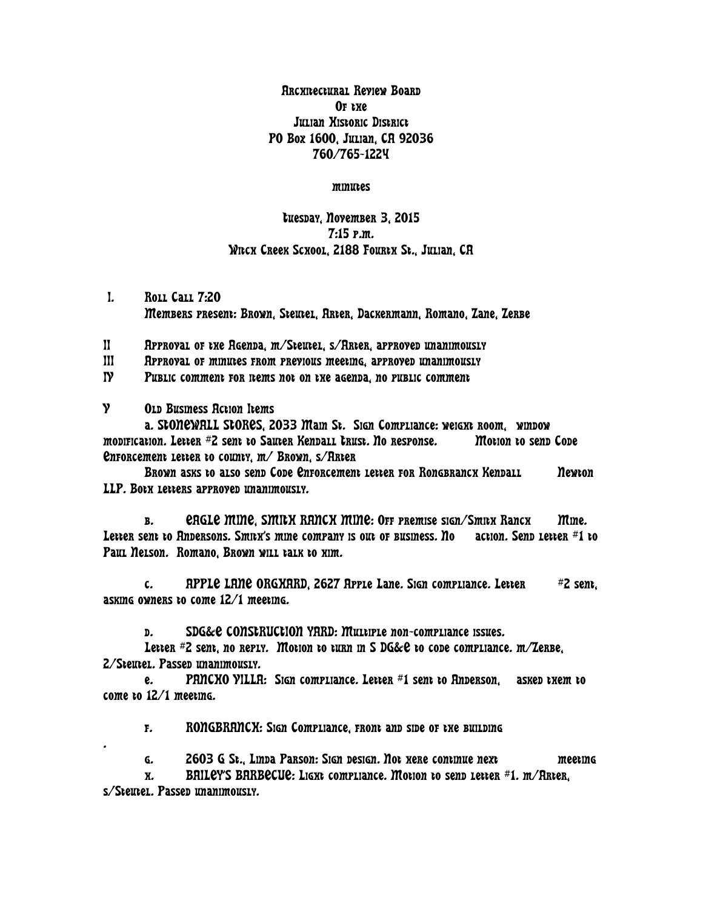Architectural Review Board OF the Julian Historic District PO Box 1600, Julian, CA 92036 760/765-1224

minutes

tuesday, November 3, 2015 7:15 p.m. WITCH CREEK SCHOOL, 2188 FOURTH St., JULIAN, CA

I. Roll Call 7:20 Members present: Brown, Steutel, Arter, Dackermann, Romano, Zane, Zerbe

II Approval of the Agenda, m/Steutel, s/Arter, approved unanimously

III Approval of minutes from previous meeting, approved unanimously

IV Public comment for nems not on the agenda, no public comment

V Old Business Action Items

a. STONEWALL STORES, 2033 Main St. Sign Compliance: weight room, window modification. Letter #2 sent to Sauter Kendall Trust. No response. Motion to send Code Enforcement letter to county, m/ Brown, s/Arter

Brown asks to also send Code Enforcement letter for Rongbranch Kendall Mewton LLP. Both letters approved unanimously.

b. EAGLE MINE, SMITH RANCH MINE: Off premise sign/Smith Ranch Mine. Letter sent to Andersons. Smith's mine company is out of business. No action. Send letter  $#1$  to Paul Nelson. Romano, Brown will talk to kim.

c. APPLE LANE ORGXARD, 2627 Apple Lane. Sign compliance. Letter  $\#$  2 sent, asking owners to come 12/1 meeting.

d. SDG&E CONSTRUCTION YARD: Multiple non-compliance issues.

Letter  $#Z$  sent, no reply. Motion to turn in S DG&e to code compliance.  $m$ /Zerbe, 2/Steutel. Passed unanimously.

e. PANCHO VILLA: Sign compliance. Letter #1 sent to Anderson, asked them to come to 12/1 meeting.

f. RONGBRANCH: Sign Compliance, front and side of the building

g. 2603 G St., Linda Parson: Sign design. Not here continue next meeting

 $h$ . BAILEY'S BARBECUE: LIGXt compliance. Motion to send letter  $#1.$  m/Arter,

s/Steutel. Passed unanimously.

.